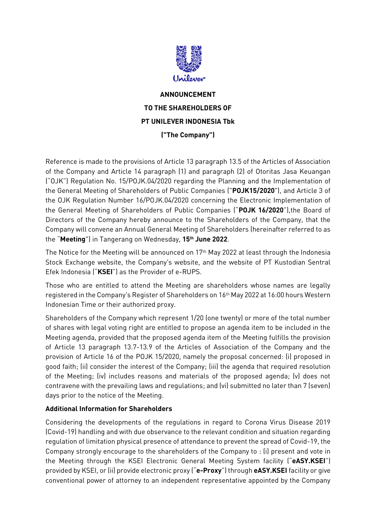

## **ANNOUNCEMENT TO THE SHAREHOLDERS OF PT UNILEVER INDONESIA Tbk ("The Company")**

Reference is made to the provisions of Article 13 paragraph 13.5 of the Articles of Association of the Company and Article 14 paragraph (1) and paragraph (2) of Otoritas Jasa Keuangan ("OJK") Regulation No. 15/POJK.04/2020 regarding the Planning and the Implementation of the General Meeting of Shareholders of Public Companies ("**POJK15/2020**"), and Article 3 of the OJK Regulation Number 16/POJK.04/2020 concerning the Electronic Implementation of the General Meeting of Shareholders of Public Companies ("**POJK 16/2020**"),the Board of Directors of the Company hereby announce to the Shareholders of the Company, that the Company will convene an Annual General Meeting of Shareholders (hereinafter referred to as the "**Meeting**") in Tangerang on Wednesday, **15 th June 2022**.

The Notice for the Meeting will be announced on 17 th May 2022 at least through the Indonesia Stock Exchange website, the Company's website, and the website of PT Kustodian Sentral Efek Indonesia ("**KSEI**") as the Provider of e-RUPS.

Those who are entitled to attend the Meeting are shareholders whose names are legally registered in the Company's Register of Shareholders on 16th May 2022 at 16:00 hours Western Indonesian Time or their authorized proxy.

Shareholders of the Company which represent 1/20 (one twenty) or more of the total number of shares with legal voting right are entitled to propose an agenda item to be included in the Meeting agenda, provided that the proposed agenda item of the Meeting fulfills the provision of Article 13 paragraph 13.7-13.9 of the Articles of Association of the Company and the provision of Article 16 of the POJK 15/2020, namely the proposal concerned: (i) proposed in good faith; (ii) consider the interest of the Company; (iii) the agenda that required resolution of the Meeting; (iv) includes reasons and materials of the proposed agenda; (v) does not contravene with the prevailing laws and regulations; and (vi) submitted no later than 7 (seven) days prior to the notice of the Meeting.

## **Additional Information for Shareholders**

Considering the developments of the regulations in regard to Corona Virus Disease 2019 (Covid-19) handling and with due observance to the relevant condition and situation regarding regulation of limitation physical presence of attendance to prevent the spread of Covid-19, the Company strongly encourage to the shareholders of the Company to : (i) present and vote in the Meeting through the KSEI Electronic General Meeting System facility ("**eASY.KSEI**") provided by KSEI, or (ii) provide electronic proxy ("**e-Proxy**") through **eASY.KSEI** facility or give conventional power of attorney to an independent representative appointed by the Company